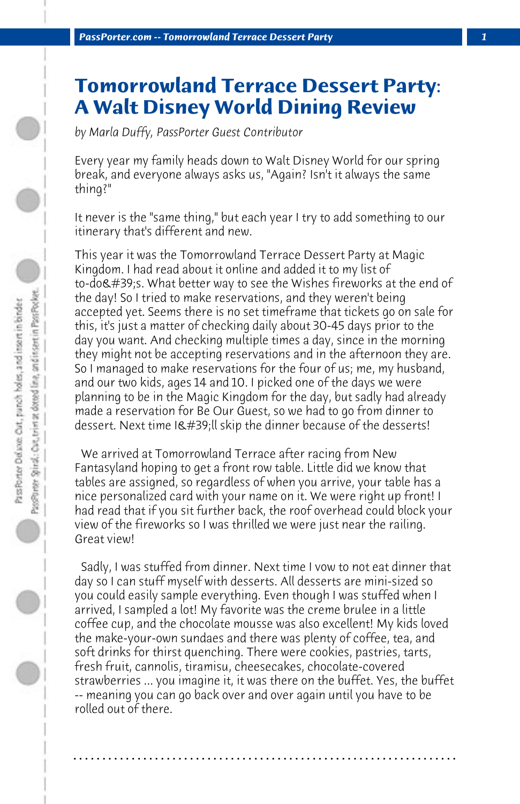## **Tomorrowland Terrace Dessert Party: A Walt Disney World Dining Review**

*by Marla Duffy, PassPorter Guest Contributor*

Every year my family heads down to Walt Disney World for our spring break, and everyone always asks us, "Again? Isn't it always the same thing?"

It never is the "same thing," but each year I try to add something to our itinerary that's different and new.

This year it was the Tomorrowland Terrace Dessert Party at Magic Kingdom. I had read about it online and added it to my list of to-do's. What better way to see the Wishes fireworks at the end of the day! So I tried to make reservations, and they weren't being accepted yet. Seems there is no set timeframe that tickets go on sale for this, it's just a matter of checking daily about 30-45 days prior to the day you want. And checking multiple times a day, since in the morning they might not be accepting reservations and in the afternoon they are. So I managed to make reservations for the four of us; me, my husband, and our two kids, ages 14 and 10. I picked one of the days we were planning to be in the Magic Kingdom for the day, but sadly had already made a reservation for Be Our Guest, so we had to go from dinner to dessert. Next time I'll skip the dinner because of the desserts!

 We arrived at Tomorrowland Terrace after racing from New Fantasyland hoping to get a front row table. Little did we know that tables are assigned, so regardless of when you arrive, your table has a nice personalized card with your name on it. We were right up front! I had read that if you sit further back, the roof overhead could block your view of the fireworks so I was thrilled we were just near the railing. Great view!

 Sadly, I was stuffed from dinner. Next time I vow to not eat dinner that day so I can stuff myself with desserts. All desserts are mini-sized so you could easily sample everything. Even though I was stuffed when I arrived, I sampled a lot! My favorite was the creme brulee in a little coffee cup, and the chocolate mousse was also excellent! My kids loved the make-your-own sundaes and there was plenty of coffee, tea, and soft drinks for thirst quenching. There were cookies, pastries, tarts, fresh fruit, cannolis, tiramisu, cheesecakes, chocolate-covered strawberries ... you imagine it, it was there on the buffet. Yes, the buffet -- meaning you can go back over and over again until you have to be rolled out of there.

**. . . . . . . . . . . . . . . . . . . . . . . . . . . . . . . . . . . . . . . . . . . . . . . . . . . . . . . . . . . . . . . . . .**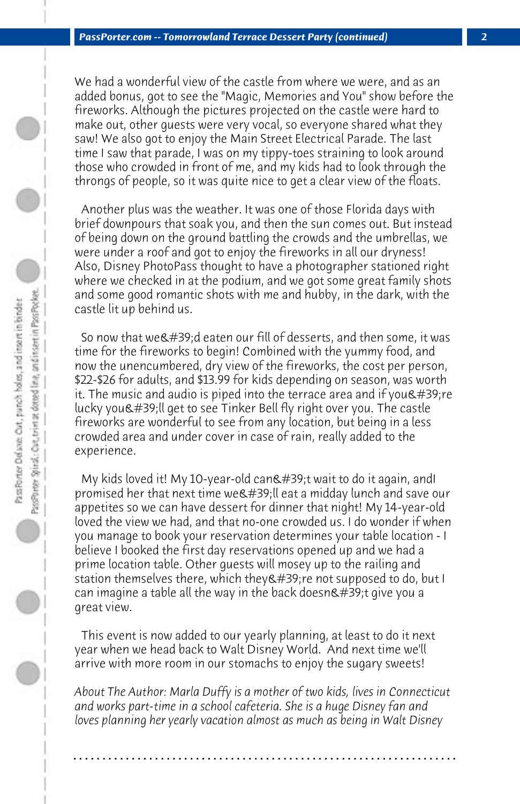We had a wonderful view of the castle from where we were, and as an added bonus, got to see the "Magic, Memories and You" show before the fireworks. Although the pictures projected on the castle were hard to make out, other guests were very vocal, so everyone shared what they saw! We also got to enjoy the Main Street Electrical Parade. The last time I saw that parade, I was on my tippy-toes straining to look around those who crowded in front of me, and my kids had to look through the throngs of people, so it was quite nice to get a clear view of the floats.

 Another plus was the weather. It was one of those Florida days with brief downpours that soak you, and then the sun comes out. But instead of being down on the ground battling the crowds and the umbrellas, we were under a roof and got to enjoy the fireworks in all our dryness! Also, Disney PhotoPass thought to have a photographer stationed right where we checked in at the podium, and we got some great family shots and some good romantic shots with me and hubby, in the dark, with the castle lit up behind us.

So now that we 'd eaten our fill of desserts, and then some, it was time for the fireworks to begin! Combined with the yummy food, and now the unencumbered, dry view of the fireworks, the cost per person, \$22-\$26 for adults, and \$13.99 for kids depending on season, was worth it. The music and audio is piped into the terrace area and if you  $\&\#39$ ; re lucky you'll get to see Tinker Bell fly right over you. The castle fireworks are wonderful to see from any location, but being in a less crowded area and under cover in case of rain, really added to the experience.

My kids loved it! My 10-year-old can't wait to do it again, andI promised her that next time we' lleat a midday lunch and save our appetites so we can have dessert for dinner that night! My 14-year-old loved the view we had, and that no-one crowded us. I do wonder if when you manage to book your reservation determines your table location - I believe I booked the first day reservations opened up and we had a prime location table. Other guests will mosey up to the railing and station themselves there, which they ' re not supposed to do, but I can imagine a table all the way in the back doesn $\&$ #39;t give you a great view.

 This event is now added to our yearly planning, at least to do it next year when we head back to Walt Disney World. And next time we'll arrive with more room in our stomachs to enjoy the sugary sweets!

*About The Author: Marla Duffy is a mother of two kids, lives in Connecticut and works part-time in a school cafeteria. She is a huge Disney fan and loves planning her yearly vacation almost as much as being in Walt Disney*

**. . . . . . . . . . . . . . . . . . . . . . . . . . . . . . . . . . . . . . . . . . . . . . . . . . . . . . . . . . . . . . . . . .**